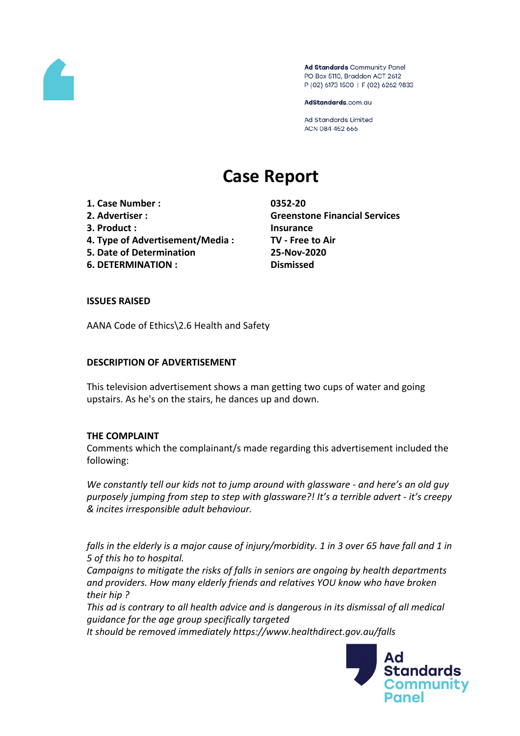

Ad Standards Community Panel PO Box 5110, Braddon ACT 2612 P (02) 6173 1500 | F (02) 6262 9833

AdStandards.com.au

Ad Standards Limited ACN 084 452 666

# **Case Report**

**1. Case Number : 0352-20**

- 
- **3. Product : Insurance**
- **4. Type of Advertisement/Media : TV - Free to Air**
- **5. Date of Determination 25-Nov-2020**
- **6. DETERMINATION : Dismissed**

**2. Advertiser : Greenstone Financial Services**

# **ISSUES RAISED**

AANA Code of Ethics\2.6 Health and Safety

# **DESCRIPTION OF ADVERTISEMENT**

This television advertisement shows a man getting two cups of water and going upstairs. As he's on the stairs, he dances up and down.

# **THE COMPLAINT**

Comments which the complainant/s made regarding this advertisement included the following:

*We constantly tell our kids not to jump around with glassware - and here's an old guy purposely jumping from step to step with glassware?! It's a terrible advert - it's creepy & incites irresponsible adult behaviour.*

falls in the elderly is a major cause of injury/morbidity. 1 in 3 over 65 have fall and 1 in *5 of this ho to hospital.*

*Campaigns to mitigate the risks of falls in seniors are ongoing by health departments and providers. How many elderly friends and relatives YOU know who have broken their hip ?*

*This ad is contrary to all health advice and is dangerous in its dismissal of all medical guidance for the age group specifically targeted*

*It should be removed immediately https://www.healthdirect.gov.au/falls*

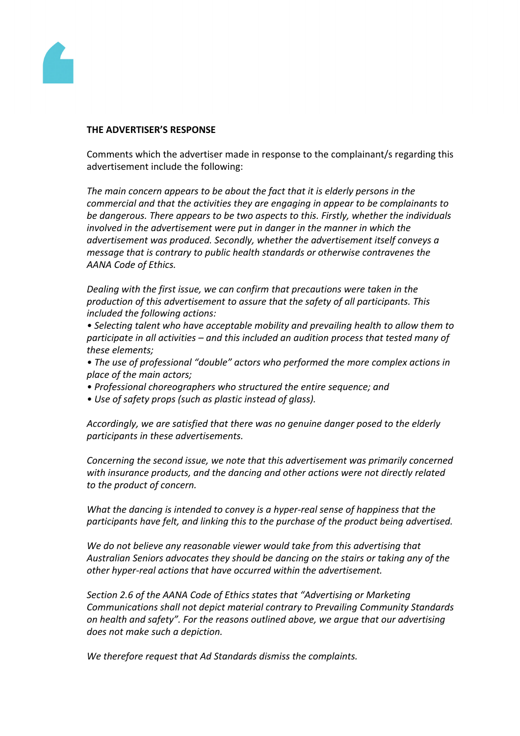

#### **THE ADVERTISER'S RESPONSE**

Comments which the advertiser made in response to the complainant/s regarding this advertisement include the following:

*The main concern appears to be about the fact that it is elderly persons in the commercial and that the activities they are engaging in appear to be complainants to be dangerous. There appears to be two aspects to this. Firstly, whether the individuals involved in the advertisement were put in danger in the manner in which the advertisement was produced. Secondly, whether the advertisement itself conveys a message that is contrary to public health standards or otherwise contravenes the AANA Code of Ethics.*

*Dealing with the first issue, we can confirm that precautions were taken in the production of this advertisement to assure that the safety of all participants. This included the following actions:*

*• Selecting talent who have acceptable mobility and prevailing health to allow them to participate in all activities – and this included an audition process that tested many of these elements;*

*• The use of professional "double" actors who performed the more complex actions in place of the main actors;*

- *• Professional choreographers who structured the entire sequence; and*
- *• Use of safety props (such as plastic instead of glass).*

*Accordingly, we are satisfied that there was no genuine danger posed to the elderly participants in these advertisements.*

*Concerning the second issue, we note that this advertisement was primarily concerned with insurance products, and the dancing and other actions were not directly related to the product of concern.*

*What the dancing is intended to convey is a hyper-real sense of happiness that the participants have felt, and linking this to the purchase of the product being advertised.*

*We do not believe any reasonable viewer would take from this advertising that Australian Seniors advocates they should be dancing on the stairs or taking any of the other hyper-real actions that have occurred within the advertisement.*

*Section 2.6 of the AANA Code of Ethics states that "Advertising or Marketing Communications shall not depict material contrary to Prevailing Community Standards on health and safety". For the reasons outlined above, we argue that our advertising does not make such a depiction.*

*We therefore request that Ad Standards dismiss the complaints.*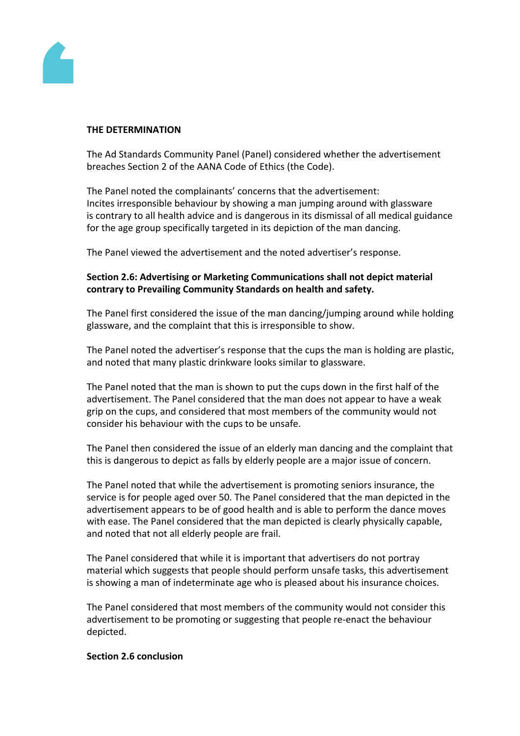

#### **THE DETERMINATION**

The Ad Standards Community Panel (Panel) considered whether the advertisement breaches Section 2 of the AANA Code of Ethics (the Code).

The Panel noted the complainants' concerns that the advertisement: Incites irresponsible behaviour by showing a man jumping around with glassware is contrary to all health advice and is dangerous in its dismissal of all medical guidance for the age group specifically targeted in its depiction of the man dancing.

The Panel viewed the advertisement and the noted advertiser's response.

# **Section 2.6: Advertising or Marketing Communications shall not depict material contrary to Prevailing Community Standards on health and safety.**

The Panel first considered the issue of the man dancing/jumping around while holding glassware, and the complaint that this is irresponsible to show.

The Panel noted the advertiser's response that the cups the man is holding are plastic, and noted that many plastic drinkware looks similar to glassware.

The Panel noted that the man is shown to put the cups down in the first half of the advertisement. The Panel considered that the man does not appear to have a weak grip on the cups, and considered that most members of the community would not consider his behaviour with the cups to be unsafe.

The Panel then considered the issue of an elderly man dancing and the complaint that this is dangerous to depict as falls by elderly people are a major issue of concern.

The Panel noted that while the advertisement is promoting seniors insurance, the service is for people aged over 50. The Panel considered that the man depicted in the advertisement appears to be of good health and is able to perform the dance moves with ease. The Panel considered that the man depicted is clearly physically capable, and noted that not all elderly people are frail.

The Panel considered that while it is important that advertisers do not portray material which suggests that people should perform unsafe tasks, this advertisement is showing a man of indeterminate age who is pleased about his insurance choices.

The Panel considered that most members of the community would not consider this advertisement to be promoting or suggesting that people re-enact the behaviour depicted.

### **Section 2.6 conclusion**